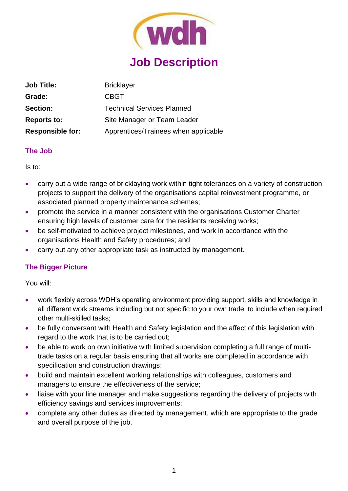

| <b>Job Title:</b>       | <b>Bricklayer</b>                    |
|-------------------------|--------------------------------------|
| Grade:                  | <b>CBGT</b>                          |
| <b>Section:</b>         | <b>Technical Services Planned</b>    |
| <b>Reports to:</b>      | Site Manager or Team Leader          |
| <b>Responsible for:</b> | Apprentices/Trainees when applicable |

#### **The Job**

Is to:

- carry out a wide range of bricklaying work within tight tolerances on a variety of construction projects to support the delivery of the organisations capital reinvestment programme, or associated planned property maintenance schemes;
- promote the service in a manner consistent with the organisations Customer Charter ensuring high levels of customer care for the residents receiving works;
- be self-motivated to achieve project milestones, and work in accordance with the organisations Health and Safety procedures; and
- carry out any other appropriate task as instructed by management.

# **The Bigger Picture**

You will:

- work flexibly across WDH's operating environment providing support, skills and knowledge in all different work streams including but not specific to your own trade, to include when required other multi-skilled tasks;
- be fully conversant with Health and Safety legislation and the affect of this legislation with regard to the work that is to be carried out;
- be able to work on own initiative with limited supervision completing a full range of multitrade tasks on a regular basis ensuring that all works are completed in accordance with specification and construction drawings;
- build and maintain excellent working relationships with colleagues, customers and managers to ensure the effectiveness of the service;
- liaise with your line manager and make suggestions regarding the delivery of projects with efficiency savings and services improvements;
- complete any other duties as directed by management, which are appropriate to the grade and overall purpose of the job.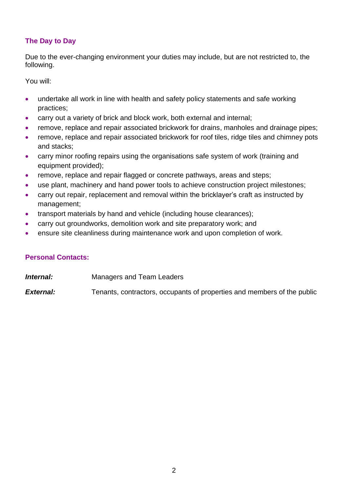# **The Day to Day**

Due to the ever-changing environment your duties may include, but are not restricted to, the following.

You will:

- undertake all work in line with health and safety policy statements and safe working practices;
- carry out a variety of brick and block work, both external and internal;
- remove, replace and repair associated brickwork for drains, manholes and drainage pipes;
- remove, replace and repair associated brickwork for roof tiles, ridge tiles and chimney pots and stacks;
- carry minor roofing repairs using the organisations safe system of work (training and equipment provided);
- remove, replace and repair flagged or concrete pathways, areas and steps;
- use plant, machinery and hand power tools to achieve construction project milestones;
- carry out repair, replacement and removal within the bricklayer's craft as instructed by management;
- transport materials by hand and vehicle (including house clearances):
- carry out groundworks, demolition work and site preparatory work; and
- ensure site cleanliness during maintenance work and upon completion of work.

# **Personal Contacts:**

**Internal:** Managers and Team Leaders

**External:** Tenants, contractors, occupants of properties and members of the public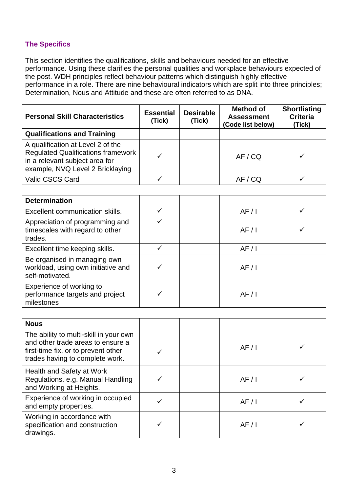### **The Specifics**

This section identifies the qualifications, skills and behaviours needed for an effective performance. Using these clarifies the personal qualities and workplace behaviours expected of the post. WDH principles reflect behaviour patterns which distinguish highly effective performance in a role. There are nine behavioural indicators which are split into three principles; Determination, Nous and Attitude and these are often referred to as DNA.

| <b>Personal Skill Characteristics</b>                                                                                                         | <b>Essential</b><br>(Tick) | <b>Desirable</b><br>(Tick) | <b>Method of</b><br><b>Assessment</b><br>(Code list below) | <b>Shortlisting</b><br><b>Criteria</b><br>(Tick) |
|-----------------------------------------------------------------------------------------------------------------------------------------------|----------------------------|----------------------------|------------------------------------------------------------|--------------------------------------------------|
| <b>Qualifications and Training</b>                                                                                                            |                            |                            |                                                            |                                                  |
| A qualification at Level 2 of the<br>Regulated Qualifications framework<br>in a relevant subject area for<br>example, NVQ Level 2 Bricklaying |                            |                            | AF / CO                                                    |                                                  |
| Valid CSCS Card                                                                                                                               |                            |                            | AF / CQ                                                    |                                                  |

| <b>Determination</b>                                                                  |      |  |
|---------------------------------------------------------------------------------------|------|--|
| Excellent communication skills.                                                       | AF/1 |  |
| Appreciation of programming and<br>timescales with regard to other<br>trades.         | AF/1 |  |
| Excellent time keeping skills.                                                        | AF/1 |  |
| Be organised in managing own<br>workload, using own initiative and<br>self-motivated. | AF/1 |  |
| Experience of working to<br>performance targets and project<br>milestones             | AF/1 |  |

| <b>Nous</b>                                                                                                                                           |      |  |
|-------------------------------------------------------------------------------------------------------------------------------------------------------|------|--|
| The ability to multi-skill in your own<br>and other trade areas to ensure a<br>first-time fix, or to prevent other<br>trades having to complete work. | AF/1 |  |
| Health and Safety at Work<br>Regulations. e.g. Manual Handling<br>and Working at Heights.                                                             | AF/1 |  |
| Experience of working in occupied<br>and empty properties.                                                                                            | AF/1 |  |
| Working in accordance with<br>specification and construction<br>drawings.                                                                             | AF/1 |  |